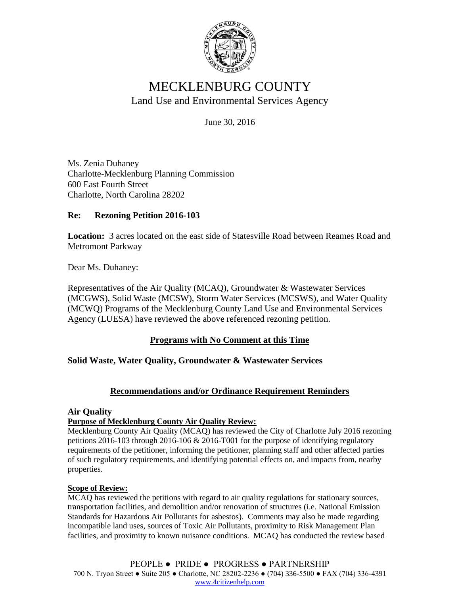

# MECKLENBURG COUNTY Land Use and Environmental Services Agency

June 30, 2016

Ms. Zenia Duhaney Charlotte-Mecklenburg Planning Commission 600 East Fourth Street Charlotte, North Carolina 28202

## **Re: Rezoning Petition 2016-103**

**Location:** 3 acres located on the east side of Statesville Road between Reames Road and Metromont Parkway

Dear Ms. Duhaney:

Representatives of the Air Quality (MCAQ), Groundwater & Wastewater Services (MCGWS), Solid Waste (MCSW), Storm Water Services (MCSWS), and Water Quality (MCWQ) Programs of the Mecklenburg County Land Use and Environmental Services Agency (LUESA) have reviewed the above referenced rezoning petition.

## **Programs with No Comment at this Time**

## **Solid Waste, Water Quality, Groundwater & Wastewater Services**

## **Recommendations and/or Ordinance Requirement Reminders**

## **Air Quality**

## **Purpose of Mecklenburg County Air Quality Review:**

Mecklenburg County Air Quality (MCAQ) has reviewed the City of Charlotte July 2016 rezoning petitions 2016-103 through 2016-106 & 2016-T001 for the purpose of identifying regulatory requirements of the petitioner, informing the petitioner, planning staff and other affected parties of such regulatory requirements, and identifying potential effects on, and impacts from, nearby properties.

#### **Scope of Review:**

MCAQ has reviewed the petitions with regard to air quality regulations for stationary sources, transportation facilities, and demolition and/or renovation of structures (i.e. National Emission Standards for Hazardous Air Pollutants for asbestos). Comments may also be made regarding incompatible land uses, sources of Toxic Air Pollutants, proximity to Risk Management Plan facilities, and proximity to known nuisance conditions. MCAQ has conducted the review based

PEOPLE ● PRIDE ● PROGRESS ● PARTNERSHIP 700 N. Tryon Street ● Suite 205 ● Charlotte, NC 28202-2236 ● (704) 336-5500 ● FAX (704) 336-4391 [www.4citizenhelp.com](http://www.4citizenhelp.com/)